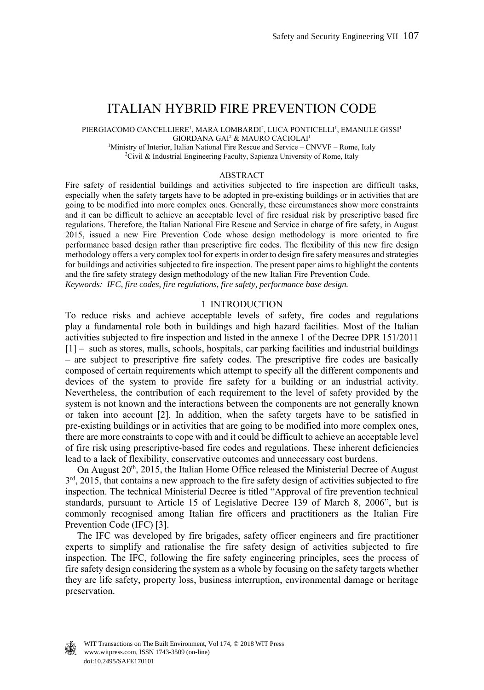# ITALIAN HYBRID FIRE PREVENTION CODE

PIERGIACOMO CANCELLIERE<sup>1</sup>, MARA LOMBARDI<sup>2</sup>, LUCA PONTICELLI<sup>1</sup>, EMANULE GISSI<sup>1</sup> GIORDANA GAI<sup>2</sup> & MAURO CACIOLAI<sup>1</sup> <sup>1</sup>Ministry of Interior, Italian National Fire Rescue and Service – CNVVF – Rome, Italy  $\frac{2C_{\text{ivil}}}{2}$  & Industrial Engineering Eqsulty, Sonianza University of Pome, Italy

<sup>2</sup>Civil & Industrial Engineering Faculty, Sapienza University of Rome, Italy

#### ABSTRACT

Fire safety of residential buildings and activities subjected to fire inspection are difficult tasks, especially when the safety targets have to be adopted in pre-existing buildings or in activities that are going to be modified into more complex ones. Generally, these circumstances show more constraints and it can be difficult to achieve an acceptable level of fire residual risk by prescriptive based fire regulations. Therefore, the Italian National Fire Rescue and Service in charge of fire safety, in August 2015, issued a new Fire Prevention Code whose design methodology is more oriented to fire performance based design rather than prescriptive fire codes. The flexibility of this new fire design methodology offers a very complex tool for experts in order to design fire safety measures and strategies for buildings and activities subjected to fire inspection. The present paper aims to highlight the contents and the fire safety strategy design methodology of the new Italian Fire Prevention Code. *Keywords: IFC, fire codes, fire regulations, fire safety, performance base design.* 

### 1 INTRODUCTION

To reduce risks and achieve acceptable levels of safety, fire codes and regulations play a fundamental role both in buildings and high hazard facilities. Most of the Italian activities subjected to fire inspection and listed in the annexe 1 of the Decree DPR 151/2011 [1] – such as stores, malls, schools, hospitals, car parking facilities and industrial buildings – are subject to prescriptive fire safety codes. The prescriptive fire codes are basically composed of certain requirements which attempt to specify all the different components and devices of the system to provide fire safety for a building or an industrial activity. Nevertheless, the contribution of each requirement to the level of safety provided by the system is not known and the interactions between the components are not generally known or taken into account [2]. In addition, when the safety targets have to be satisfied in pre-existing buildings or in activities that are going to be modified into more complex ones, there are more constraints to cope with and it could be difficult to achieve an acceptable level of fire risk using prescriptive-based fire codes and regulations. These inherent deficiencies lead to a lack of flexibility, conservative outcomes and unnecessary cost burdens.

On August 20<sup>th</sup>, 2015, the Italian Home Office released the Ministerial Decree of August  $3<sup>rd</sup>$ , 2015, that contains a new approach to the fire safety design of activities subjected to fire inspection. The technical Ministerial Decree is titled "Approval of fire prevention technical standards, pursuant to Article 15 of Legislative Decree 139 of March 8, 2006", but is commonly recognised among Italian fire officers and practitioners as the Italian Fire Prevention Code (IFC) [3].

 The IFC was developed by fire brigades, safety officer engineers and fire practitioner experts to simplify and rationalise the fire safety design of activities subjected to fire inspection. The IFC, following the fire safety engineering principles, sees the process of fire safety design considering the system as a whole by focusing on the safety targets whether they are life safety, property loss, business interruption, environmental damage or heritage preservation.

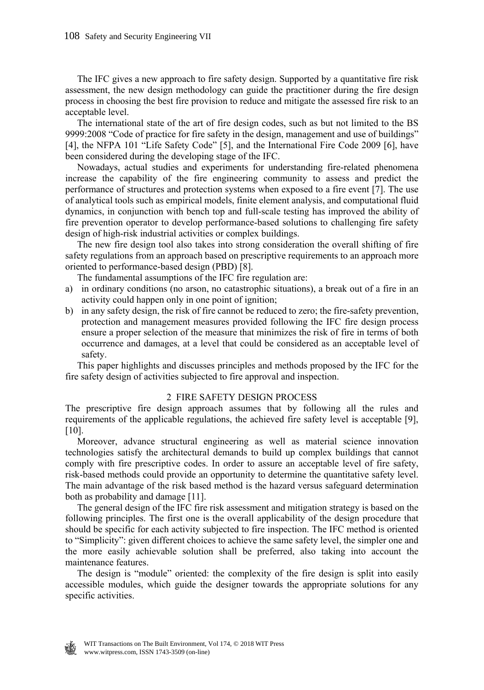The IFC gives a new approach to fire safety design. Supported by a quantitative fire risk assessment, the new design methodology can guide the practitioner during the fire design process in choosing the best fire provision to reduce and mitigate the assessed fire risk to an acceptable level.

 The international state of the art of fire design codes, such as but not limited to the BS 9999:2008 "Code of practice for fire safety in the design, management and use of buildings" [4], the NFPA 101 "Life Safety Code" [5], and the International Fire Code 2009 [6], have been considered during the developing stage of the IFC.

 Nowadays, actual studies and experiments for understanding fire-related phenomena increase the capability of the fire engineering community to assess and predict the performance of structures and protection systems when exposed to a fire event [7]. The use of analytical tools such as empirical models, finite element analysis, and computational fluid dynamics, in conjunction with bench top and full-scale testing has improved the ability of fire prevention operator to develop performance-based solutions to challenging fire safety design of high-risk industrial activities or complex buildings.

 The new fire design tool also takes into strong consideration the overall shifting of fire safety regulations from an approach based on prescriptive requirements to an approach more oriented to performance-based design (PBD) [8].

The fundamental assumptions of the IFC fire regulation are:

- a) in ordinary conditions (no arson, no catastrophic situations), a break out of a fire in an activity could happen only in one point of ignition;
- b) in any safety design, the risk of fire cannot be reduced to zero; the fire-safety prevention, protection and management measures provided following the IFC fire design process ensure a proper selection of the measure that minimizes the risk of fire in terms of both occurrence and damages, at a level that could be considered as an acceptable level of safety.

 This paper highlights and discusses principles and methods proposed by the IFC for the fire safety design of activities subjected to fire approval and inspection.

### 2 FIRE SAFETY DESIGN PROCESS

The prescriptive fire design approach assumes that by following all the rules and requirements of the applicable regulations, the achieved fire safety level is acceptable [9], [10].

 Moreover, advance structural engineering as well as material science innovation technologies satisfy the architectural demands to build up complex buildings that cannot comply with fire prescriptive codes. In order to assure an acceptable level of fire safety, risk-based methods could provide an opportunity to determine the quantitative safety level. The main advantage of the risk based method is the hazard versus safeguard determination both as probability and damage [11].

 The general design of the IFC fire risk assessment and mitigation strategy is based on the following principles. The first one is the overall applicability of the design procedure that should be specific for each activity subjected to fire inspection. The IFC method is oriented to "Simplicity": given different choices to achieve the same safety level, the simpler one and the more easily achievable solution shall be preferred, also taking into account the maintenance features.

 The design is "module" oriented: the complexity of the fire design is split into easily accessible modules, which guide the designer towards the appropriate solutions for any specific activities.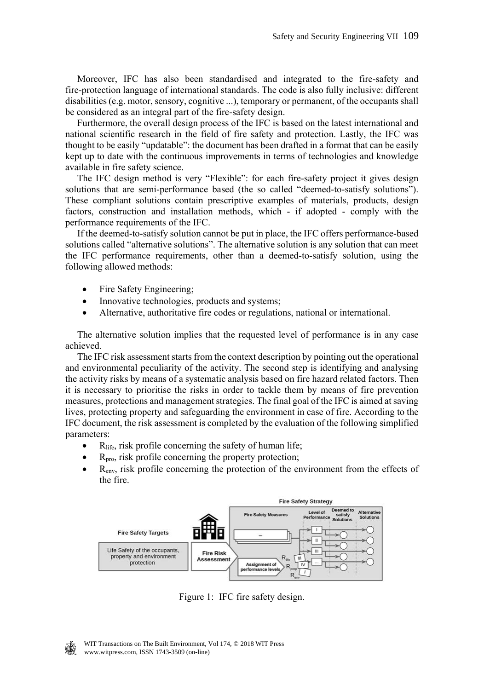Moreover, IFC has also been standardised and integrated to the fire-safety and fire-protection language of international standards. The code is also fully inclusive: different disabilities (e.g. motor, sensory, cognitive ...), temporary or permanent, of the occupants shall be considered as an integral part of the fire-safety design.

 Furthermore, the overall design process of the IFC is based on the latest international and national scientific research in the field of fire safety and protection. Lastly, the IFC was thought to be easily "updatable": the document has been drafted in a format that can be easily kept up to date with the continuous improvements in terms of technologies and knowledge available in fire safety science.

 The IFC design method is very "Flexible": for each fire-safety project it gives design solutions that are semi-performance based (the so called "deemed-to-satisfy solutions"). These compliant solutions contain prescriptive examples of materials, products, design factors, construction and installation methods, which - if adopted - comply with the performance requirements of the IFC.

 If the deemed-to-satisfy solution cannot be put in place, the IFC offers performance-based solutions called "alternative solutions". The alternative solution is any solution that can meet the IFC performance requirements, other than a deemed-to-satisfy solution, using the following allowed methods:

- Fire Safety Engineering;
- Innovative technologies, products and systems;
- Alternative, authoritative fire codes or regulations, national or international.

 The alternative solution implies that the requested level of performance is in any case achieved.

 The IFC risk assessment starts from the context description by pointing out the operational and environmental peculiarity of the activity. The second step is identifying and analysing the activity risks by means of a systematic analysis based on fire hazard related factors. Then it is necessary to prioritise the risks in order to tackle them by means of fire prevention measures, protections and management strategies. The final goal of the IFC is aimed at saving lives, protecting property and safeguarding the environment in case of fire. According to the IFC document, the risk assessment is completed by the evaluation of the following simplified parameters:

- $\bullet$  R<sub>life</sub>, risk profile concerning the safety of human life;
- $R_{\text{pro}}$ , risk profile concerning the property protection;
- Renv, risk profile concerning the protection of the environment from the effects of the fire.



Figure 1: IFC fire safety design.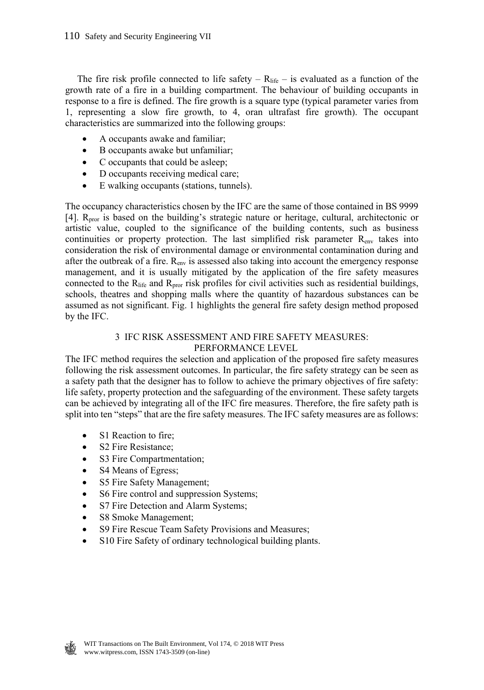The fire risk profile connected to life safety –  $R_{\text{life}}$  – is evaluated as a function of the growth rate of a fire in a building compartment. The behaviour of building occupants in response to a fire is defined. The fire growth is a square type (typical parameter varies from 1, representing a slow fire growth, to 4, oran ultrafast fire growth). The occupant characteristics are summarized into the following groups:

- A occupants awake and familiar;
- B occupants awake but unfamiliar;
- C occupants that could be asleep;
- D occupants receiving medical care;
- E walking occupants (stations, tunnels).

The occupancy characteristics chosen by the IFC are the same of those contained in BS 9999 [4]. R<sub>pror</sub> is based on the building's strategic nature or heritage, cultural, architectonic or artistic value, coupled to the significance of the building contents, such as business continuities or property protection. The last simplified risk parameter  $R_{env}$  takes into consideration the risk of environmental damage or environmental contamination during and after the outbreak of a fire.  $R_{env}$  is assessed also taking into account the emergency response management, and it is usually mitigated by the application of the fire safety measures connected to the  $R_{\text{life}}$  and  $R_{\text{pro}}$  risk profiles for civil activities such as residential buildings, schools, theatres and shopping malls where the quantity of hazardous substances can be assumed as not significant. Fig. 1 highlights the general fire safety design method proposed by the IFC.

# 3 IFC RISK ASSESSMENT AND FIRE SAFETY MEASURES: PERFORMANCE LEVEL

The IFC method requires the selection and application of the proposed fire safety measures following the risk assessment outcomes. In particular, the fire safety strategy can be seen as a safety path that the designer has to follow to achieve the primary objectives of fire safety: life safety, property protection and the safeguarding of the environment. These safety targets can be achieved by integrating all of the IFC fire measures. Therefore, the fire safety path is split into ten "steps" that are the fire safety measures. The IFC safety measures are as follows:

- S1 Reaction to fire;
- S2 Fire Resistance;
- S3 Fire Compartmentation;
- S4 Means of Egress;
- S5 Fire Safety Management;
- S6 Fire control and suppression Systems;
- S7 Fire Detection and Alarm Systems;
- S8 Smoke Management;
- S9 Fire Rescue Team Safety Provisions and Measures;
- S10 Fire Safety of ordinary technological building plants.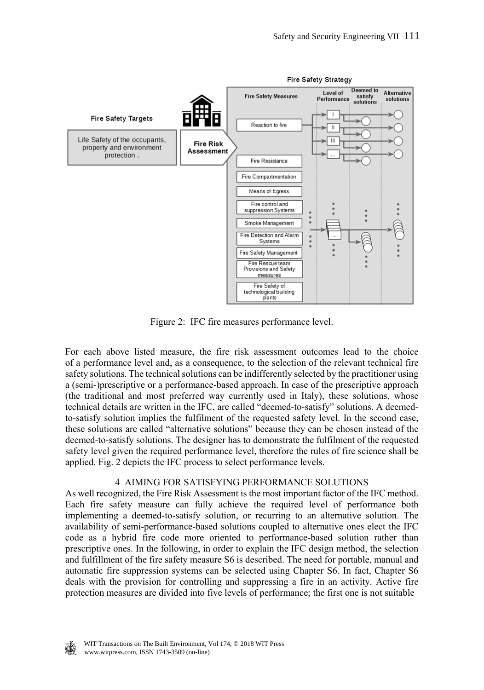

Figure 2: IFC fire measures performance level.

For each above listed measure, the fire risk assessment outcomes lead to the choice of a performance level and, as a consequence, to the selection of the relevant technical fire safety solutions. The technical solutions can be indifferently selected by the practitioner using a (semi-)prescriptive or a performance-based approach. In case of the prescriptive approach (the traditional and most preferred way currently used in Italy), these solutions, whose technical details are written in the IFC, are called "deemed-to-satisfy" solutions. A deemedto-satisfy solution implies the fulfilment of the requested safety level. In the second case, these solutions are called "alternative solutions" because they can be chosen instead of the deemed-to-satisfy solutions. The designer has to demonstrate the fulfilment of the requested safety level given the required performance level, therefore the rules of fire science shall be applied. Fig. 2 depicts the IFC process to select performance levels.

### 4 AIMING FOR SATISFYING PERFORMANCE SOLUTIONS

As well recognized, the Fire Risk Assessment is the most important factor of the IFC method. Each fire safety measure can fully achieve the required level of performance both implementing a deemed-to-satisfy solution, or recurring to an alternative solution. The availability of semi-performance-based solutions coupled to alternative ones elect the IFC code as a hybrid fire code more oriented to performance-based solution rather than prescriptive ones. In the following, in order to explain the IFC design method, the selection and fulfillment of the fire safety measure S6 is described. The need for portable, manual and automatic fire suppression systems can be selected using Chapter S6. In fact, Chapter S6 deals with the provision for controlling and suppressing a fire in an activity. Active fire protection measures are divided into five levels of performance; the first one is not suitable

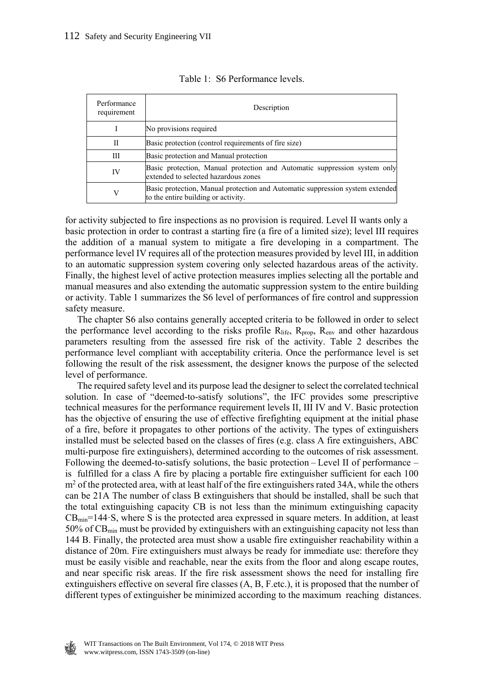| Performance<br>requirement | Description                                                                                                          |  |
|----------------------------|----------------------------------------------------------------------------------------------------------------------|--|
|                            | No provisions required                                                                                               |  |
| Н                          | Basic protection (control requirements of fire size)                                                                 |  |
| Ш                          | Basic protection and Manual protection                                                                               |  |
| IV                         | Basic protection, Manual protection and Automatic suppression system only<br>extended to selected hazardous zones    |  |
|                            | Basic protection, Manual protection and Automatic suppression system extended<br>to the entire building or activity. |  |

|  | Table 1: S6 Performance levels. |  |
|--|---------------------------------|--|
|--|---------------------------------|--|

for activity subjected to fire inspections as no provision is required. Level II wants only a basic protection in order to contrast a starting fire (a fire of a limited size); level III requires the addition of a manual system to mitigate a fire developing in a compartment. The performance level IV requires all of the protection measures provided by level III, in addition to an automatic suppression system covering only selected hazardous areas of the activity. Finally, the highest level of active protection measures implies selecting all the portable and manual measures and also extending the automatic suppression system to the entire building or activity. Table 1 summarizes the S6 level of performances of fire control and suppression safety measure.

 The chapter S6 also contains generally accepted criteria to be followed in order to select the performance level according to the risks profile  $R_{life}$ ,  $R_{prop}$ ,  $R_{env}$  and other hazardous parameters resulting from the assessed fire risk of the activity. Table 2 describes the performance level compliant with acceptability criteria. Once the performance level is set following the result of the risk assessment, the designer knows the purpose of the selected level of performance.

 The required safety level and its purpose lead the designer to select the correlated technical solution. In case of "deemed-to-satisfy solutions", the IFC provides some prescriptive technical measures for the performance requirement levels II, III IV and V. Basic protection has the objective of ensuring the use of effective firefighting equipment at the initial phase of a fire, before it propagates to other portions of the activity. The types of extinguishers installed must be selected based on the classes of fires (e.g. class A fire extinguishers, ABC multi-purpose fire extinguishers), determined according to the outcomes of risk assessment. Following the deemed-to-satisfy solutions, the basic protection – Level II of performance – is fulfilled for a class A fire by placing a portable fire extinguisher sufficient for each 100 m<sup>2</sup> of the protected area, with at least half of the fire extinguishers rated 34A, while the others can be 21A The number of class B extinguishers that should be installed, shall be such that the total extinguishing capacity CB is not less than the minimum extinguishing capacity  $CB_{min} = 144 \cdot S$ , where S is the protected area expressed in square meters. In addition, at least 50% of CBmin must be provided by extinguishers with an extinguishing capacity not less than 144 B. Finally, the protected area must show a usable fire extinguisher reachability within a distance of 20m. Fire extinguishers must always be ready for immediate use: therefore they must be easily visible and reachable, near the exits from the floor and along escape routes, and near specific risk areas. If the fire risk assessment shows the need for installing fire extinguishers effective on several fire classes (A, B, F.etc.), it is proposed that the number of different types of extinguisher be minimized according to the maximum reaching distances.

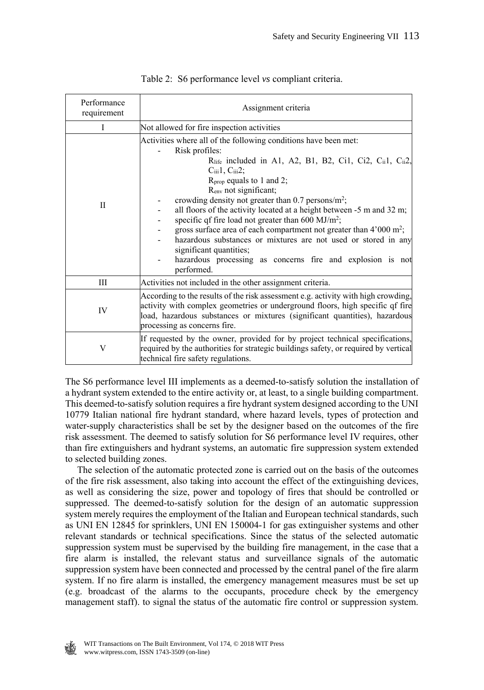| Performance<br>requirement | Assignment criteria                                                                                                                                                                                                                                                                                                                                                                                                                                                                                                                                                                                                                                                                                                                                     |  |  |
|----------------------------|---------------------------------------------------------------------------------------------------------------------------------------------------------------------------------------------------------------------------------------------------------------------------------------------------------------------------------------------------------------------------------------------------------------------------------------------------------------------------------------------------------------------------------------------------------------------------------------------------------------------------------------------------------------------------------------------------------------------------------------------------------|--|--|
| I                          | Not allowed for fire inspection activities                                                                                                                                                                                                                                                                                                                                                                                                                                                                                                                                                                                                                                                                                                              |  |  |
| П                          | Activities where all of the following conditions have been met:<br>Risk profiles:<br>$R_{\text{life}}$ included in A1, A2, B1, B2, Ci1, Ci2, C <sub>ii</sub> 1, C <sub>ii</sub> 2,<br>$C_{iii}1, C_{iii}2;$<br>$R_{prop}$ equals to 1 and 2;<br>R <sub>env</sub> not significant;<br>crowding density not greater than 0.7 persons/m <sup>2</sup> ;<br>all floors of the activity located at a height between -5 m and 32 m;<br>specific qf fire load not greater than $600 \text{ MJ/m}^2$ ;<br>gross surface area of each compartment not greater than $4'000 \text{ m}^2$ ;<br>hazardous substances or mixtures are not used or stored in any<br>significant quantities;<br>hazardous processing as concerns fire and explosion is not<br>performed. |  |  |
| Ш                          | Activities not included in the other assignment criteria.                                                                                                                                                                                                                                                                                                                                                                                                                                                                                                                                                                                                                                                                                               |  |  |
| IV                         | According to the results of the risk assessment e.g. activity with high crowding,<br>activity with complex geometries or underground floors, high specific qf fire<br>load, hazardous substances or mixtures (significant quantities), hazardous<br>processing as concerns fire.                                                                                                                                                                                                                                                                                                                                                                                                                                                                        |  |  |
| V                          | If requested by the owner, provided for by project technical specifications,<br>required by the authorities for strategic buildings safety, or required by vertical<br>technical fire safety regulations.                                                                                                                                                                                                                                                                                                                                                                                                                                                                                                                                               |  |  |

|  | Table 2: S6 performance level vs compliant criteria. |  |  |
|--|------------------------------------------------------|--|--|
|  |                                                      |  |  |

The S6 performance level III implements as a deemed-to-satisfy solution the installation of a hydrant system extended to the entire activity or, at least, to a single building compartment. This deemed-to-satisfy solution requires a fire hydrant system designed according to the UNI 10779 Italian national fire hydrant standard, where hazard levels, types of protection and water-supply characteristics shall be set by the designer based on the outcomes of the fire risk assessment. The deemed to satisfy solution for S6 performance level IV requires, other than fire extinguishers and hydrant systems, an automatic fire suppression system extended to selected building zones.

 The selection of the automatic protected zone is carried out on the basis of the outcomes of the fire risk assessment, also taking into account the effect of the extinguishing devices, as well as considering the size, power and topology of fires that should be controlled or suppressed. The deemed-to-satisfy solution for the design of an automatic suppression system merely requires the employment of the Italian and European technical standards, such as UNI EN 12845 for sprinklers, UNI EN 150004-1 for gas extinguisher systems and other relevant standards or technical specifications. Since the status of the selected automatic suppression system must be supervised by the building fire management, in the case that a fire alarm is installed, the relevant status and surveillance signals of the automatic suppression system have been connected and processed by the central panel of the fire alarm system. If no fire alarm is installed, the emergency management measures must be set up (e.g. broadcast of the alarms to the occupants, procedure check by the emergency management staff). to signal the status of the automatic fire control or suppression system.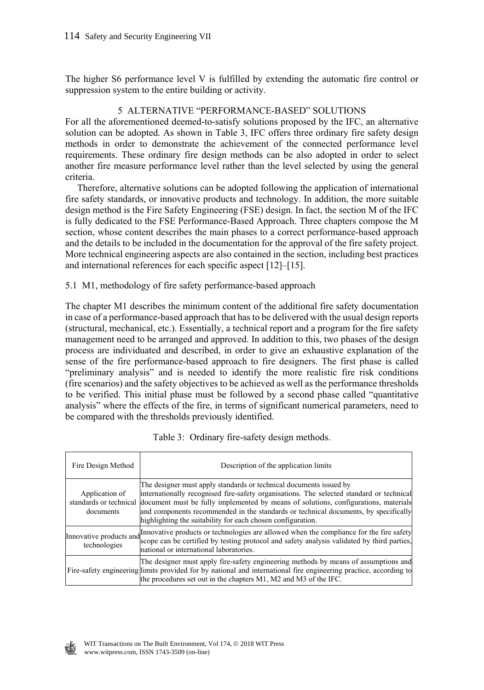The higher S6 performance level V is fulfilled by extending the automatic fire control or suppression system to the entire building or activity.

# 5 ALTERNATIVE "PERFORMANCE-BASED" SOLUTIONS

For all the aforementioned deemed-to-satisfy solutions proposed by the IFC, an alternative solution can be adopted. As shown in Table 3, IFC offers three ordinary fire safety design methods in order to demonstrate the achievement of the connected performance level requirements. These ordinary fire design methods can be also adopted in order to select another fire measure performance level rather than the level selected by using the general criteria.

 Therefore, alternative solutions can be adopted following the application of international fire safety standards, or innovative products and technology. In addition, the more suitable design method is the Fire Safety Engineering (FSE) design. In fact, the section M of the IFC is fully dedicated to the FSE Performance-Based Approach. Three chapters compose the M section, whose content describes the main phases to a correct performance-based approach and the details to be included in the documentation for the approval of the fire safety project. More technical engineering aspects are also contained in the section, including best practices and international references for each specific aspect [12]–[15].

# 5.1 M1, methodology of fire safety performance-based approach

The chapter M1 describes the minimum content of the additional fire safety documentation in case of a performance-based approach that has to be delivered with the usual design reports (structural, mechanical, etc.). Essentially, a technical report and a program for the fire safety management need to be arranged and approved. In addition to this, two phases of the design process are individuated and described, in order to give an exhaustive explanation of the sense of the fire performance-based approach to fire designers. The first phase is called "preliminary analysis" and is needed to identify the more realistic fire risk conditions (fire scenarios) and the safety objectives to be achieved as well as the performance thresholds to be verified. This initial phase must be followed by a second phase called "quantitative analysis" where the effects of the fire, in terms of significant numerical parameters, need to be compared with the thresholds previously identified.

| Fire Design Method          | Description of the application limits                                                                                                                                                                                                                                                                                                                                                                                              |
|-----------------------------|------------------------------------------------------------------------------------------------------------------------------------------------------------------------------------------------------------------------------------------------------------------------------------------------------------------------------------------------------------------------------------------------------------------------------------|
| Application of<br>documents | The designer must apply standards or technical documents issued by<br>internationally recognised fire-safety organisations. The selected standard or technical<br>standards or technical document must be fully implemented by means of solutions, configurations, materials<br>and components recommended in the standards or technical documents, by specifically<br>highlighting the suitability for each chosen configuration. |
| technologies                | Innovative products and Innovative products or technologies are allowed when the compliance for the fire safety<br>scope can be certified by testing protocol and safety analysis validated by third parties,<br>national or international laboratories.                                                                                                                                                                           |
|                             | The designer must apply fire-safety engineering methods by means of assumptions and<br>Fire-safety engineering limits provided for by national and international fire engineering practice, according to<br>the procedures set out in the chapters M1, M2 and M3 of the IFC.                                                                                                                                                       |

|  |  | Table 3: Ordinary fire-safety design methods. |  |  |
|--|--|-----------------------------------------------|--|--|
|--|--|-----------------------------------------------|--|--|

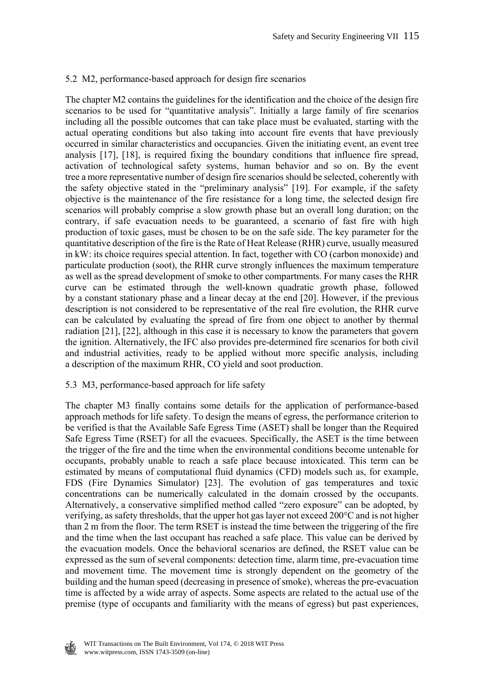# 5.2 M2, performance-based approach for design fire scenarios

The chapter M2 contains the guidelines for the identification and the choice of the design fire scenarios to be used for "quantitative analysis". Initially a large family of fire scenarios including all the possible outcomes that can take place must be evaluated, starting with the actual operating conditions but also taking into account fire events that have previously occurred in similar characteristics and occupancies. Given the initiating event, an event tree analysis [17], [18], is required fixing the boundary conditions that influence fire spread, activation of technological safety systems, human behavior and so on. By the event tree a more representative number of design fire scenarios should be selected, coherently with the safety objective stated in the "preliminary analysis" [19]. For example, if the safety objective is the maintenance of the fire resistance for a long time, the selected design fire scenarios will probably comprise a slow growth phase but an overall long duration; on the contrary, if safe evacuation needs to be guaranteed, a scenario of fast fire with high production of toxic gases, must be chosen to be on the safe side. The key parameter for the quantitative description of the fire is the Rate of Heat Release (RHR) curve, usually measured in kW: its choice requires special attention. In fact, together with CO (carbon monoxide) and particulate production (soot), the RHR curve strongly influences the maximum temperature as well as the spread development of smoke to other compartments. For many cases the RHR curve can be estimated through the well-known quadratic growth phase, followed by a constant stationary phase and a linear decay at the end [20]. However, if the previous description is not considered to be representative of the real fire evolution, the RHR curve can be calculated by evaluating the spread of fire from one object to another by thermal radiation [21], [22], although in this case it is necessary to know the parameters that govern the ignition. Alternatively, the IFC also provides pre-determined fire scenarios for both civil and industrial activities, ready to be applied without more specific analysis, including a description of the maximum RHR, CO yield and soot production.

### 5.3 M3, performance-based approach for life safety

The chapter M3 finally contains some details for the application of performance-based approach methods for life safety. To design the means of egress, the performance criterion to be verified is that the Available Safe Egress Time (ASET) shall be longer than the Required Safe Egress Time (RSET) for all the evacuees. Specifically, the ASET is the time between the trigger of the fire and the time when the environmental conditions become untenable for occupants, probably unable to reach a safe place because intoxicated. This term can be estimated by means of computational fluid dynamics (CFD) models such as, for example, FDS (Fire Dynamics Simulator) [23]. The evolution of gas temperatures and toxic concentrations can be numerically calculated in the domain crossed by the occupants. Alternatively, a conservative simplified method called "zero exposure" can be adopted, by verifying, as safety thresholds, that the upper hot gas layer not exceed 200°C and is not higher than 2 m from the floor. The term RSET is instead the time between the triggering of the fire and the time when the last occupant has reached a safe place. This value can be derived by the evacuation models. Once the behavioral scenarios are defined, the RSET value can be expressed as the sum of several components: detection time, alarm time, pre-evacuation time and movement time. The movement time is strongly dependent on the geometry of the building and the human speed (decreasing in presence of smoke), whereas the pre-evacuation time is affected by a wide array of aspects. Some aspects are related to the actual use of the premise (type of occupants and familiarity with the means of egress) but past experiences,

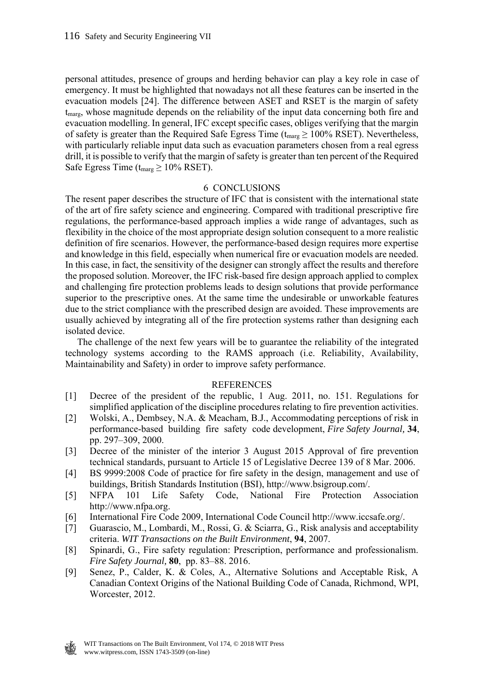personal attitudes, presence of groups and herding behavior can play a key role in case of emergency. It must be highlighted that nowadays not all these features can be inserted in the evacuation models [24]. The difference between ASET and RSET is the margin of safety  $t_{\text{marg}}$ , whose magnitude depends on the reliability of the input data concerning both fire and evacuation modelling. In general, IFC except specific cases, obliges verifying that the margin of safety is greater than the Required Safe Egress Time ( $t_{\text{marg}} \ge 100\%$  RSET). Nevertheless, with particularly reliable input data such as evacuation parameters chosen from a real egress drill, it is possible to verify that the margin of safety is greater than ten percent of the Required Safe Egress Time ( $t_{\text{marg}} \ge 10\%$  RSET).

### 6 CONCLUSIONS

The resent paper describes the structure of IFC that is consistent with the international state of the art of fire safety science and engineering. Compared with traditional prescriptive fire regulations, the performance-based approach implies a wide range of advantages, such as flexibility in the choice of the most appropriate design solution consequent to a more realistic definition of fire scenarios. However, the performance-based design requires more expertise and knowledge in this field, especially when numerical fire or evacuation models are needed. In this case, in fact, the sensitivity of the designer can strongly affect the results and therefore the proposed solution. Moreover, the IFC risk-based fire design approach applied to complex and challenging fire protection problems leads to design solutions that provide performance superior to the prescriptive ones. At the same time the undesirable or unworkable features due to the strict compliance with the prescribed design are avoided. These improvements are usually achieved by integrating all of the fire protection systems rather than designing each isolated device.

 The challenge of the next few years will be to guarantee the reliability of the integrated technology systems according to the RAMS approach (i.e. Reliability, Availability, Maintainability and Safety) in order to improve safety performance.

### REFERENCES

- [1] Decree of the president of the republic, 1 Aug. 2011, no. 151. Regulations for simplified application of the discipline procedures relating to fire prevention activities.
- [2] Wolski, A., Dembsey, N.A. & Meacham, B.J., Accommodating perceptions of risk in performance-based building fire safety code development, *Fire Safety Journal,* **34** , pp. 297–309, 2000.
- [3] Decree of the minister of the interior 3 August 2015 Approval of fire prevention technical standards, pursuant to Article 15 of Legislative Decree 139 of 8 Mar. 2006.
- [4] BS 9999:2008 Code of practice for fire safety in the design, management and use of buildings, British Standards Institution (BSI), http://www.bsigroup.com/.
- [5] NFPA 101 Life Safety Code, National Fire Protection Association http://www.nfpa.org.
- [6] International Fire Code 2009, International Code Council http://www.iccsafe.org/.
- [7] Guarascio, M., Lombardi, M., Rossi, G. & Sciarra, G., Risk analysis and acceptability criteria. *WIT Transactions on the Built Environment*, **94**, 2007.
- [8] Spinardi, G., Fire safety regulation: Prescription, performance and professionalism. *Fire Safety Journal,* **80** , pp. 83–88. 2016.
- [9] Senez, P., Calder, K. & Coles, A., Alternative Solutions and Acceptable Risk, A Canadian Context Origins of the National Building Code of Canada, Richmond, WPI, Worcester, 2012.